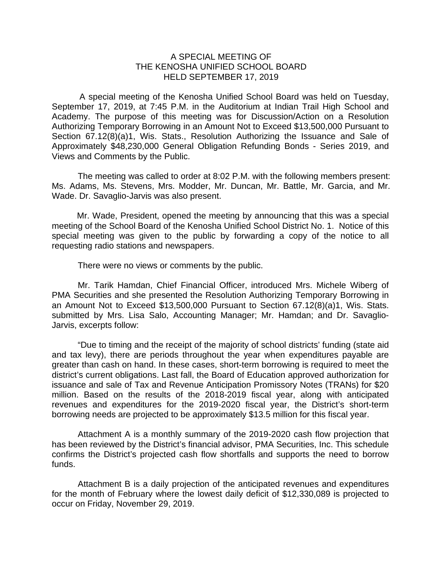## A SPECIAL MEETING OF THE KENOSHA UNIFIED SCHOOL BOARD HELD SEPTEMBER 17, 2019

A special meeting of the Kenosha Unified School Board was held on Tuesday, September 17, 2019, at 7:45 P.M. in the Auditorium at Indian Trail High School and Academy. The purpose of this meeting was for Discussion/Action on a Resolution Authorizing Temporary Borrowing in an Amount Not to Exceed \$13,500,000 Pursuant to Section 67.12(8)(a)1, Wis. Stats., Resolution Authorizing the Issuance and Sale of Approximately \$48,230,000 General Obligation Refunding Bonds - Series 2019, and Views and Comments by the Public.

The meeting was called to order at 8:02 P.M. with the following members present: Ms. Adams, Ms. Stevens, Mrs. Modder, Mr. Duncan, Mr. Battle, Mr. Garcia, and Mr. Wade. Dr. Savaglio-Jarvis was also present.

Mr. Wade, President, opened the meeting by announcing that this was a special meeting of the School Board of the Kenosha Unified School District No. 1. Notice of this special meeting was given to the public by forwarding a copy of the notice to all requesting radio stations and newspapers.

There were no views or comments by the public.

Mr. Tarik Hamdan, Chief Financial Officer, introduced Mrs. Michele Wiberg of PMA Securities and she presented the Resolution Authorizing Temporary Borrowing in an Amount Not to Exceed \$13,500,000 Pursuant to Section 67.12(8)(a)1, Wis. Stats. submitted by Mrs. Lisa Salo, Accounting Manager; Mr. Hamdan; and Dr. Savaglio-Jarvis, excerpts follow:

"Due to timing and the receipt of the majority of school districts' funding (state aid and tax levy), there are periods throughout the year when expenditures payable are greater than cash on hand. In these cases, short-term borrowing is required to meet the district's current obligations. Last fall, the Board of Education approved authorization for issuance and sale of Tax and Revenue Anticipation Promissory Notes (TRANs) for \$20 million. Based on the results of the 2018-2019 fiscal year, along with anticipated revenues and expenditures for the 2019-2020 fiscal year, the District's short-term borrowing needs are projected to be approximately \$13.5 million for this fiscal year.

Attachment A is a monthly summary of the 2019-2020 cash flow projection that has been reviewed by the District's financial advisor, PMA Securities, Inc. This schedule confirms the District's projected cash flow shortfalls and supports the need to borrow funds.

Attachment B is a daily projection of the anticipated revenues and expenditures for the month of February where the lowest daily deficit of \$12,330,089 is projected to occur on Friday, November 29, 2019.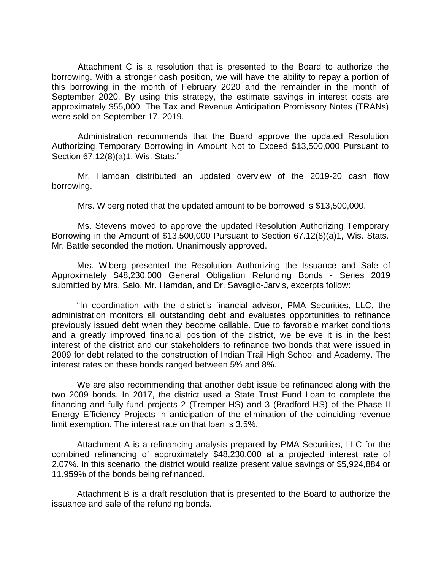Attachment C is a resolution that is presented to the Board to authorize the borrowing. With a stronger cash position, we will have the ability to repay a portion of this borrowing in the month of February 2020 and the remainder in the month of September 2020. By using this strategy, the estimate savings in interest costs are approximately \$55,000. The Tax and Revenue Anticipation Promissory Notes (TRANs) were sold on September 17, 2019.

Administration recommends that the Board approve the updated Resolution Authorizing Temporary Borrowing in Amount Not to Exceed \$13,500,000 Pursuant to Section 67.12(8)(a)1, Wis. Stats."

Mr. Hamdan distributed an updated overview of the 2019-20 cash flow borrowing.

Mrs. Wiberg noted that the updated amount to be borrowed is \$13,500,000.

Ms. Stevens moved to approve the updated Resolution Authorizing Temporary Borrowing in the Amount of \$13,500,000 Pursuant to Section 67.12(8)(a)1, Wis. Stats. Mr. Battle seconded the motion. Unanimously approved.

Mrs. Wiberg presented the Resolution Authorizing the Issuance and Sale of Approximately \$48,230,000 General Obligation Refunding Bonds - Series 2019 submitted by Mrs. Salo, Mr. Hamdan, and Dr. Savaglio-Jarvis, excerpts follow:

"In coordination with the district's financial advisor, PMA Securities, LLC, the administration monitors all outstanding debt and evaluates opportunities to refinance previously issued debt when they become callable. Due to favorable market conditions and a greatly improved financial position of the district, we believe it is in the best interest of the district and our stakeholders to refinance two bonds that were issued in 2009 for debt related to the construction of Indian Trail High School and Academy. The interest rates on these bonds ranged between 5% and 8%.

We are also recommending that another debt issue be refinanced along with the two 2009 bonds. In 2017, the district used a State Trust Fund Loan to complete the financing and fully fund projects 2 (Tremper HS) and 3 (Bradford HS) of the Phase II Energy Efficiency Projects in anticipation of the elimination of the coinciding revenue limit exemption. The interest rate on that loan is 3.5%.

Attachment A is a refinancing analysis prepared by PMA Securities, LLC for the combined refinancing of approximately \$48,230,000 at a projected interest rate of 2.07%. In this scenario, the district would realize present value savings of \$5,924,884 or 11.959% of the bonds being refinanced.

Attachment B is a draft resolution that is presented to the Board to authorize the issuance and sale of the refunding bonds.